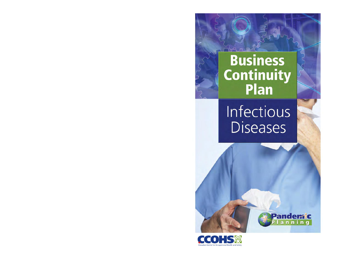# **Business Continuity**<br>
Plan

# Infectious **Diseases**

demic anning

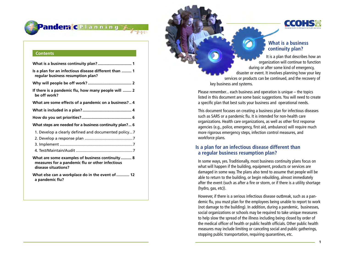

#### **Contents**

| Is a plan for an infectious disease different than  1<br>regular business resumption plan?                                |
|---------------------------------------------------------------------------------------------------------------------------|
|                                                                                                                           |
| If there is a pandemic flu, how many people will  2<br>be off work?                                                       |
| What are some effects of a pandemic on a business? 4                                                                      |
|                                                                                                                           |
|                                                                                                                           |
| What steps are needed for a business continuity plan? 6                                                                   |
| 1. Develop a clearly defined and documented policy7                                                                       |
|                                                                                                                           |
|                                                                                                                           |
|                                                                                                                           |
| What are some examples of business continuity 8<br>measures for a pandemic flu or other infectious<br>disease situations? |
| What else can a workplace do in the event of  12<br>a pandemic flu?                                                       |

CCOHS

# **What is a business continuity plan?**

It is a plan that describes how an organization will continue to function during or after some kind of emergency, disaster or event. It involves planning how your key services or products can be continued, and the recovery of key business and systems.

Please remember... each business and operation is unique – the topics listed in this document are some basic suggestions. You will need to create a specific plan that best suits your business and operational needs.

This document focuses on creating a business plan for infectious diseases such as SARS or a pandemic flu. It is intended for non-health care organizations. Health care organizations, as well as other first response agencies (e.g., police, emergency, first aid, ambulance) will require much more rigorous emergency steps, infection control measures, and workforce plans.

# **Is a plan for an infectious disease different than a regular business resumption plan?**

In some ways, yes. Traditionally, most business continuity plans focus on what will happen if the building, equipment, products or services are damaged in some way. The plans also tend to assume that people will be able to return to the building, or begin rebuilding, almost immediately after the event (such as after a fire or storm, or if there is a utility shortage (hydro, gas, etc)).

However, if there is a serious infectious disease outbreak, such as a pan demic flu, you must plan for the employees being unable to report to work (not damage to the building). In addition, during a pandemic, businesses, social organizations or schools may be required to take unique measures to help slow the spread of the illness including being closed by order of the medical officer of health or public health officials. Other public health measures may include limiting or canceling social and public gatherings, stopping public transportation, requiring quarantines, etc.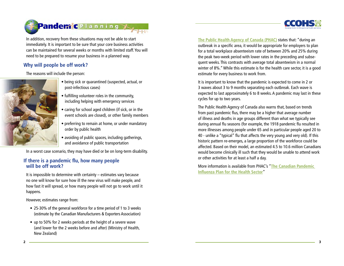



In addition, recovery from these situations may not be able to start immediately. It is important to be sure that your core business activities can be maintained for several weeks or months with limited staff. You will need to be prepared to resume your business in a planned way.

# **Why will people be off work?**

The reasons will include the person:



- being sick or quarantined (suspected, actual, or post-infectious cases)
- fulfilling volunteer roles in the community, including helping with emergency services
- caring for school aged children (if sick, or in the event schools are closed), or other family members
- preferring to remain at home, or under mandatory order by public health
- avoiding of public spaces, including gatherings, and avoidance of public transportation

In a worst case scenario, they may have died or be on long-term disability.

### **If there is a pandemic flu, how many people will be off work?**

It is impossible to determine with certainty – estimates vary because no one will know for sure how ill the new virus will make people, and how fast it will spread, or how many people will not go to work until it happens.

However, estimates range from:

- 25-30% of the general workforce for a time period of 1 to 3 weeks (estimate by the Canadian Manufacturers & Exporters Association)
- up to 50% for 2 weeks periods at the height of a severe wave (and lower for the 2 weeks before and after) (Ministry of Health, New Zealand)

**[The Public Health Agency of Canada \(PHAC\)](http://www.phac-aspc.gc.ca/cpip-pclcpi/s02-eng.php#24)** states that: "during an outbreak in a specific area, it would be appropriate for employers to plan for a total workplace absenteeism rate of between 20% and 25% during the peak two-week period with lower rates in the preceding and subsequent weeks. This contrasts with average total absenteeism in a normal winter of 8%." While this estimate is for the health care sector, it is a good estimate for every business to work from.

It is important to know that the pandemic is expected to come in 2 or 3 waves about 3 to 9 months separating each outbreak. Each wave is expected to last approximately 6 to 8 weeks. A pandemic may last in these cycles for up to two years.

The Public Health Agency of Canada also warns that, based on trends from past pandemic flus, there may be a higher that average number of illness and deaths in age groups different than what we typically see during annual flu seasons (for example, the 1918 pandemic flu resulted in more illnesses among people under 65 and in particular people aged 20 to 40 - unlike a "typical" flu that affects the very young and very old). If this historic pattern re-emerges, a large proportion of the workforce could be affected. Based on their model, an estimated 4.5 to 10.6 million Canadians would become clinically ill such that they would be unable to attend work or other activities for at least a half a day.

More information is available from PHAC's "**[The Canadian Pandemic](http://www.phac-aspc.gc.ca/cpip-pclcpi/s02_e.html)  [Influenza Plan for the Health Sector](http://www.phac-aspc.gc.ca/cpip-pclcpi/s02_e.html)**"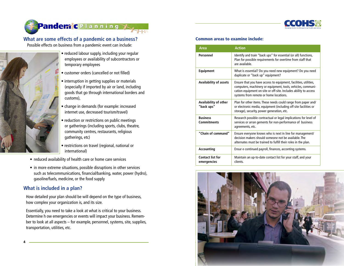



**What are some effects of a pandemic on a business?**  Possible effects on business from a pandemic event can include:



- reduced labour supply, including your regular employees or availability of subcontractors or temporary employees
- customer orders (cancelled or not filled)
- interruption in getting supplies or materials (especially if imported by air or land, including goods that go through international borders and customs),
- change in demands (for example: increased internet use, decreased tourism/travel)
- reduction or restrictions on public meetings or gatherings (including sports, clubs, theatre, community centres, restaurants, religious gatherings, etc)
- restrictions on travel (regional, national or international)
- reduced availability of health care or home care services
- in more extreme situations, possible disruptions in other services such as telecommunications, financial/banking, water, power (hydro), gasoline/fuels, medicine, or the food supply

# **What is included in a plan?**

How detailed your plan should be will depend on the type of business, how complex your organization is, and its size.

Essentially, you need to take a look at what is critical to your business. Determine h ow emergencies or events will impact your business. Remember to look at all aspects – for example, personnel, systems, site, supplies, transportation, utilities, etc.

#### Common areas to examine include:

| Area                                  | <b>Action</b>                                                                                                                                                                                                                                  |
|---------------------------------------|------------------------------------------------------------------------------------------------------------------------------------------------------------------------------------------------------------------------------------------------|
| Personnel                             | Identify and train "back ups" for essential (or all) functions,<br>Plan for possible requirements for overtime from staff that<br>are available.                                                                                               |
| Equipment                             | What is essential? Do you need new equipment? Do you need<br>duplicate or "back up" equipment?                                                                                                                                                 |
| Availability of assets                | Ensure that you have access to equipment, facilities, utilities,<br>computers, machinery or equipment, tools, vehicles, communi-<br>cation equipment on-site or off-site. Includes ability to access<br>systems from remote or home locations. |
| Availability of other<br>"back ups"   | Plan for other items. These needs could range from paper and/<br>or electronic media, equipment (including off site facilities or<br>storage), security, power generation, etc.                                                                |
| <b>Business</b><br><b>Commitments</b> | Research possible contractual or legal implications for level of<br>services or arran gements for non-performance of business<br>agreements, etc.                                                                                              |
| "Chain of command"                    | Ensure everyone knows who is next in line for management/<br>decision makers should someone not be available. The<br>alternates must be trained to fulfill their roles in the plan.                                                            |
| Accounting                            | Ensur e continued payroll, finances, acconting systems.                                                                                                                                                                                        |
| Contact list for<br>emergencies       | Maintain an up-to-date contact list for your staff, and your<br>clients.                                                                                                                                                                       |

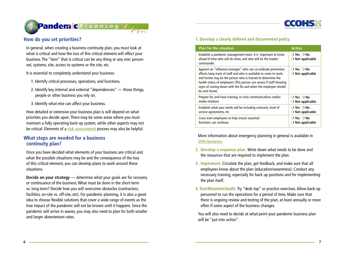



## **How do you set priorities?**

In general, when creating a business continuity plan, you must look at what is critical and how the loss of this critical element will affect your business. The "item" that is critical can be any thing or any one: personnel, systems, site, access to systems or the site, etc.

It is essential to completely understand your business:

- 1. Identify critical processes, operations, and functions.
- 2. Identify key internal and external "dependencies" those things, people or other business you rely on.
- 3. Identify what else can affect your business.

How detailed or extensive your business plan is will depend on what priorities you decide upon. There may be some areas where you must maintain a fully operating back-up system, while other aspects may not be critical. Elements of a **[risk assessment](http://www.ccohs.ca/oshanswers/hsprograms/risk_assessment.html)** process may also be helpful.

#### **What steps are needed for a business continuity plan?**

Once you have decided what elements of your business are critical and what the possible situations may be and the consequence of the loss of this critical element, you can develop plans to work around these situations.

**Decide on your strategy** — determine what your goals are for recovery or continuance of the business. What must be done in the short-term vs. long-term? Decide how you will overcome obstacles (contractors, facilities, on-site vs. off-site, etc). For pandemic planning, it is also a good idea to choose flexible solutions that cover a wide range of events as the true impact of the pandemic will not be known until it happens. Since the pandemic will arrive in waves, you may also need to plan for both smaller and larger absenteeism rates.

#### **1. Develop a clearly defined and documented policy.**

| <b>Plan for the situation</b>                                                                                                                                                                                                                                                                                                                                 | <b>Action</b>                                             |
|---------------------------------------------------------------------------------------------------------------------------------------------------------------------------------------------------------------------------------------------------------------------------------------------------------------------------------------------------------------|-----------------------------------------------------------|
| Establish a pandemic management team. It is important to know<br>ahead of time who will do what, and who will be the leader/<br>commander.                                                                                                                                                                                                                    | $\bigcirc$ Yes $\bigcirc$ No<br>$\bigcirc$ Not applicable |
| Appoint an "influenza manager" who can co-ordinate prevention<br>efforts, keep track of staff and who is available to come to work,<br>and he/she may be the person who is trained to determine the<br>health status of employees (This person can assess if staff showing<br>signs of coming down with the flu and when the employee should<br>be sent home) | $\bigcirc$ Yes $\bigcirc$ No<br>$\bigcirc$ Not applicable |
| Prepare for, and have training, in crisis communications and/or                                                                                                                                                                                                                                                                                               | $\bigcirc$ Yes $\bigcirc$ No                              |
| media relations                                                                                                                                                                                                                                                                                                                                               | $\bigcirc$ Not applicable                                 |
| Establish what your needs will be including contracts, level of                                                                                                                                                                                                                                                                                               | $\bigcirc$ Yes $\bigcirc$ No                              |
| service agreements, etc                                                                                                                                                                                                                                                                                                                                       | $\bigcirc$ Not applicable                                 |
| Cross train employees to help ensure essential                                                                                                                                                                                                                                                                                                                | $\bigcirc$ Yes $\bigcirc$ No                              |
| functions can continue.                                                                                                                                                                                                                                                                                                                                       | $\bigcirc$ Not applicable                                 |

More information about emergency planning in general is available in **[OSH Answers](http://www.ccohs.ca/oshanswers/hsprograms/planning.html)**.

- **2. Develop a response plan.** Write down what needs to be done and the resources that are required to implement the plan.
- **3. Implement.** Circulate the plan, get feedback, and make sure that all employees know about the plan (education/awareness). Conduct any necessary training, especially for back up positions and for implementing the plan itself.
- **4. Test/Maintain/Audit.** Try "desk top" or practice exercises. Allow back-up personnel to run the operations for a period of time. Make sure that there is ongoing review and testing of the plan, at least annually or more often if some aspect of the business changes.

You will also need to decide at what point your pandemic business plan will be "put into action".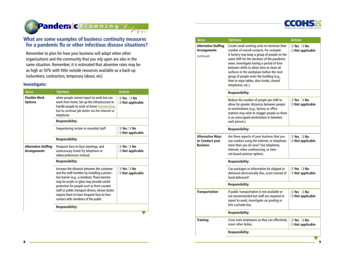



#### **What are some examples of business continuity measures for a pandemic flu or other infectious disease situations?**

#### Investigate:

| Area                                               | <b>Options</b>                                                                                                                                                                                                                                                                                                                                                                  | <b>Action</b>                                             |  |  |  |  |
|----------------------------------------------------|---------------------------------------------------------------------------------------------------------------------------------------------------------------------------------------------------------------------------------------------------------------------------------------------------------------------------------------------------------------------------------|-----------------------------------------------------------|--|--|--|--|
| <b>Flexible Work</b><br><b>Options</b>             | when people cannot report to work but can<br>work from home. Set up the infrastructure to<br>handle people to work at home teleworking<br>but to continue job duties via the internet or<br>telephone                                                                                                                                                                           | $\bigcirc$ Yes $\bigcirc$ No<br>$\bigcirc$ Not applicable |  |  |  |  |
|                                                    | <b>Responsibility:</b>                                                                                                                                                                                                                                                                                                                                                          |                                                           |  |  |  |  |
|                                                    | Sequestering certain or essential staff                                                                                                                                                                                                                                                                                                                                         | $\bigcirc$ Yes $\bigcirc$ No<br>$\bigcirc$ Not applicable |  |  |  |  |
|                                                    | Responsibility:                                                                                                                                                                                                                                                                                                                                                                 |                                                           |  |  |  |  |
| <b>Alternative Staffing</b><br><b>Arrangements</b> | Postpone face-to-face meetings, and<br>unnecessary travel. Try telephone or<br>videoconferences instead.                                                                                                                                                                                                                                                                        | $\bigcirc$ Yes $\bigcirc$ No<br>$\bigcirc$ Not applicable |  |  |  |  |
|                                                    | Responsibility:                                                                                                                                                                                                                                                                                                                                                                 |                                                           |  |  |  |  |
|                                                    | Increase the distance between the customer<br>and the staff member by installing a protec-<br>tive barrier (e.g., a window). These barriers<br>may be acrylic or glass may provide useful<br>protection for people such as front counter<br>staff or public transport drivers, whose duties<br>require them to have frequent face-to-face<br>contact with members of the public | $\bigcirc$ Yes $\bigcirc$ No<br>$\bigcirc$ Not applicable |  |  |  |  |
|                                                    | Responsibility:                                                                                                                                                                                                                                                                                                                                                                 |                                                           |  |  |  |  |
|                                                    |                                                                                                                                                                                                                                                                                                                                                                                 |                                                           |  |  |  |  |

|                                                    | What are some examples of business continuity measures                                                                                                                                                                                                                                                                                                                                              |                                                                                        |  |
|----------------------------------------------------|-----------------------------------------------------------------------------------------------------------------------------------------------------------------------------------------------------------------------------------------------------------------------------------------------------------------------------------------------------------------------------------------------------|----------------------------------------------------------------------------------------|--|
| <b>Investigate:</b>                                | for a pandemic flu or other infectious disease situations?<br>Remember to plan for how your business will adapt when other<br>organizations and the community that you rely upon are also in the<br>same situation. Remember, it is estimated that absentee rates may be<br>as high as 50% with little outside resources available as a back-up<br>(volunteers, contractors, temporary labour, etc) |                                                                                        |  |
| Area                                               | <b>Options</b>                                                                                                                                                                                                                                                                                                                                                                                      | <b>Action</b>                                                                          |  |
| <b>Flexible Work</b><br><b>Options</b>             | when people cannot report to work but can<br>work from home. Set up the infrastructure to<br>handle people to work at home teleworking<br>but to continue job duties via the internet or<br>telephone<br><b>Responsibility:</b>                                                                                                                                                                     | $\bigcirc$ Yes $\bigcirc$ No<br>$\bigcirc$ Not applicable                              |  |
|                                                    | Sequestering certain or essential staff                                                                                                                                                                                                                                                                                                                                                             | $\bigcirc$ Yes $\bigcirc$ No                                                           |  |
| <b>Alternative Staffing</b><br><b>Arrangements</b> | <b>Responsibility:</b><br>Postpone face-to-face meetings, and<br>unnecessary travel. Try telephone or<br>videoconferences instead.                                                                                                                                                                                                                                                                  | $\bigcirc$ Not applicable<br>$\bigcirc$ Yes $\bigcirc$ No<br>$\bigcirc$ Not applicable |  |
|                                                    | <b>Responsibility:</b>                                                                                                                                                                                                                                                                                                                                                                              |                                                                                        |  |
|                                                    | Increase the distance between the customer<br>and the staff member by installing a protec-<br>tive barrier (e.g., a window). These barriers<br>may be acrylic or glass may provide useful                                                                                                                                                                                                           | $\bigcirc$ Yes $\bigcirc$ No<br>$\bigcirc$ Not applicable                              |  |
|                                                    | protection for people such as front counter                                                                                                                                                                                                                                                                                                                                                         |                                                                                        |  |
|                                                    | staff or public transport drivers, whose duties<br>require them to have frequent face-to-face<br>contact with members of the public                                                                                                                                                                                                                                                                 |                                                                                        |  |
|                                                    | <b>Responsibility:</b>                                                                                                                                                                                                                                                                                                                                                                              |                                                                                        |  |
|                                                    |                                                                                                                                                                                                                                                                                                                                                                                                     |                                                                                        |  |
|                                                    |                                                                                                                                                                                                                                                                                                                                                                                                     |                                                                                        |  |
|                                                    |                                                                                                                                                                                                                                                                                                                                                                                                     |                                                                                        |  |
| 8                                                  |                                                                                                                                                                                                                                                                                                                                                                                                     |                                                                                        |  |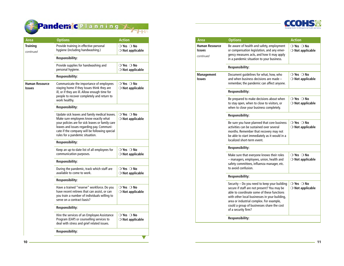

| Pandemic Planning |  |  |  |  |
|-------------------|--|--|--|--|
|                   |  |  |  |  |

| Area                     | <b>Options</b>                                                                                                                                                                                                                                                              | <b>Action</b>                                             |  |  |  |  |  |  |
|--------------------------|-----------------------------------------------------------------------------------------------------------------------------------------------------------------------------------------------------------------------------------------------------------------------------|-----------------------------------------------------------|--|--|--|--|--|--|
| Training<br>continued    | Provide training in effective personal<br>hygiene (including handwashing.)                                                                                                                                                                                                  | $\bigcirc$ Yes $\bigcirc$ No<br>$\bigcirc$ Not applicable |  |  |  |  |  |  |
|                          | <b>Responsibility:</b>                                                                                                                                                                                                                                                      |                                                           |  |  |  |  |  |  |
|                          | Provide supplies for handwashing and<br>personal hygiene.                                                                                                                                                                                                                   | $\bigcirc$ Yes $\bigcirc$ No<br>$\bigcirc$ Not applicable |  |  |  |  |  |  |
|                          | <b>Responsibility:</b>                                                                                                                                                                                                                                                      |                                                           |  |  |  |  |  |  |
| Human Resource<br>Issues | Communicate the importance of employees<br>staying home if they Issues think they are<br>ill, or if they are ill. Allow enough time for<br>people to recover completely and return to<br>work healthy.                                                                      | $\bigcirc$ Yes $\bigcirc$ No<br>$\bigcirc$ Not applicable |  |  |  |  |  |  |
|                          | Responsibility:                                                                                                                                                                                                                                                             |                                                           |  |  |  |  |  |  |
|                          | Update sick leaves and family medical leaves.<br>Make sure employees know exactly what<br>your policies are for sick leaves or family care<br>leaves and issues regarding pay. Communi-<br>cate if the company will be following special<br>rules for a pandemic situation. | $\bigcirc$ Yes $\bigcirc$ No<br>$\bigcirc$ Not applicable |  |  |  |  |  |  |
|                          | <b>Responsibility:</b>                                                                                                                                                                                                                                                      |                                                           |  |  |  |  |  |  |
|                          | Keep an up-to-date list of all employees for<br>communication purposes.                                                                                                                                                                                                     | $\bigcirc$ Yes $\bigcirc$ No<br>$\bigcirc$ Not applicable |  |  |  |  |  |  |
|                          | Responsibility:                                                                                                                                                                                                                                                             |                                                           |  |  |  |  |  |  |
|                          | During the pandemic, track which staff are<br>available to come to work.                                                                                                                                                                                                    | $\bigcirc$ Yes $\bigcirc$ No<br>$\bigcirc$ Not applicable |  |  |  |  |  |  |
|                          | Responsibility:                                                                                                                                                                                                                                                             |                                                           |  |  |  |  |  |  |
|                          | Have a trained "reserve" workforce. Do you<br>have recent retirees that can assist, or can<br>you train a number of individuals willing to<br>serve on a contract basis?                                                                                                    | $\bigcirc$ Yes $\bigcirc$ No<br>$\bigcirc$ Not applicable |  |  |  |  |  |  |
|                          | <b>Responsibility:</b>                                                                                                                                                                                                                                                      |                                                           |  |  |  |  |  |  |
|                          | Hire the services of an Employee Assistance<br>Program (EAP) or counselling services to<br>deal with stress and grief related issues.                                                                                                                                       | $\bigcirc$ Yes $\bigcirc$ No<br>$\bigcirc$ Not applicable |  |  |  |  |  |  |
|                          | Responsibility:                                                                                                                                                                                                                                                             |                                                           |  |  |  |  |  |  |
|                          |                                                                                                                                                                                                                                                                             |                                                           |  |  |  |  |  |  |

| <b>Human Resource</b><br>Be aware of health and safety, employment<br>$\bigcirc$ Yes $\bigcirc$ No<br>or compensation legislation, and any emer-<br>$\bigcirc$ Not applicable<br><b>Issues</b><br>gency measures acts, and how it may apply<br>continued<br>in a pandemic situation to your business.<br><b>Responsibility:</b><br>Document guidelines for what, how, who<br>$\bigcirc$ Yes $\bigcirc$ No<br><b>Management</b><br>and when business decisions are made -<br><b>Issues</b><br>$\bigcirc$ Not applicable<br>remember, the pandemic can affect anyone.<br>Responsibility:<br>Be prepared to make decisions about when<br>$\bigcirc$ Yes $\bigcirc$ No<br>to stay open, when to close to visitors, or<br>$\bigcirc$ Not applicable<br>when to close your business completely.<br><b>Responsibility:</b><br>Be sure you have planned that core business<br>$\bigcirc$ Yes $\bigcirc$ No<br>activities can be sustained over several<br>$\bigcirc$ Not applicable<br>months. Remember that recovery may not<br>be able to start immediately as it would in a<br>localized short-term event.<br><b>Responsibility:</b><br>Make sure that everyone knows their roles<br>$\bigcirc$ Yes $\bigcirc$ No<br>- managers, employees, union, health and<br>$\bigcirc$ Not applicable<br>safety committees, influenza manager, etc.<br>to avoid confusion.<br><b>Responsibility:</b><br>Security - Do you need to keep your building<br>$\bigcirc$ Yes $\bigcirc$ No<br>secure if staff are not present? You may be<br>$\bigcirc$ Not applicable<br>able to coordinate some of these functions<br>with other local businesses in your building,<br>area or industrial complex. For example,<br>could a group of businesses share the cost<br>of a security firm?<br><b>Responsibility:</b> | <b>Area</b> | <b>Options</b> | <b>Action</b> |  |  |  |  |  |  |
|--------------------------------------------------------------------------------------------------------------------------------------------------------------------------------------------------------------------------------------------------------------------------------------------------------------------------------------------------------------------------------------------------------------------------------------------------------------------------------------------------------------------------------------------------------------------------------------------------------------------------------------------------------------------------------------------------------------------------------------------------------------------------------------------------------------------------------------------------------------------------------------------------------------------------------------------------------------------------------------------------------------------------------------------------------------------------------------------------------------------------------------------------------------------------------------------------------------------------------------------------------------------------------------------------------------------------------------------------------------------------------------------------------------------------------------------------------------------------------------------------------------------------------------------------------------------------------------------------------------------------------------------------------------------------------------------------------------------------------------------------------------------------------------------|-------------|----------------|---------------|--|--|--|--|--|--|
|                                                                                                                                                                                                                                                                                                                                                                                                                                                                                                                                                                                                                                                                                                                                                                                                                                                                                                                                                                                                                                                                                                                                                                                                                                                                                                                                                                                                                                                                                                                                                                                                                                                                                                                                                                                            |             |                |               |  |  |  |  |  |  |
|                                                                                                                                                                                                                                                                                                                                                                                                                                                                                                                                                                                                                                                                                                                                                                                                                                                                                                                                                                                                                                                                                                                                                                                                                                                                                                                                                                                                                                                                                                                                                                                                                                                                                                                                                                                            |             |                |               |  |  |  |  |  |  |
|                                                                                                                                                                                                                                                                                                                                                                                                                                                                                                                                                                                                                                                                                                                                                                                                                                                                                                                                                                                                                                                                                                                                                                                                                                                                                                                                                                                                                                                                                                                                                                                                                                                                                                                                                                                            |             |                |               |  |  |  |  |  |  |
|                                                                                                                                                                                                                                                                                                                                                                                                                                                                                                                                                                                                                                                                                                                                                                                                                                                                                                                                                                                                                                                                                                                                                                                                                                                                                                                                                                                                                                                                                                                                                                                                                                                                                                                                                                                            |             |                |               |  |  |  |  |  |  |
|                                                                                                                                                                                                                                                                                                                                                                                                                                                                                                                                                                                                                                                                                                                                                                                                                                                                                                                                                                                                                                                                                                                                                                                                                                                                                                                                                                                                                                                                                                                                                                                                                                                                                                                                                                                            |             |                |               |  |  |  |  |  |  |
|                                                                                                                                                                                                                                                                                                                                                                                                                                                                                                                                                                                                                                                                                                                                                                                                                                                                                                                                                                                                                                                                                                                                                                                                                                                                                                                                                                                                                                                                                                                                                                                                                                                                                                                                                                                            |             |                |               |  |  |  |  |  |  |
|                                                                                                                                                                                                                                                                                                                                                                                                                                                                                                                                                                                                                                                                                                                                                                                                                                                                                                                                                                                                                                                                                                                                                                                                                                                                                                                                                                                                                                                                                                                                                                                                                                                                                                                                                                                            |             |                |               |  |  |  |  |  |  |
|                                                                                                                                                                                                                                                                                                                                                                                                                                                                                                                                                                                                                                                                                                                                                                                                                                                                                                                                                                                                                                                                                                                                                                                                                                                                                                                                                                                                                                                                                                                                                                                                                                                                                                                                                                                            |             |                |               |  |  |  |  |  |  |
|                                                                                                                                                                                                                                                                                                                                                                                                                                                                                                                                                                                                                                                                                                                                                                                                                                                                                                                                                                                                                                                                                                                                                                                                                                                                                                                                                                                                                                                                                                                                                                                                                                                                                                                                                                                            |             |                |               |  |  |  |  |  |  |
|                                                                                                                                                                                                                                                                                                                                                                                                                                                                                                                                                                                                                                                                                                                                                                                                                                                                                                                                                                                                                                                                                                                                                                                                                                                                                                                                                                                                                                                                                                                                                                                                                                                                                                                                                                                            |             |                |               |  |  |  |  |  |  |
|                                                                                                                                                                                                                                                                                                                                                                                                                                                                                                                                                                                                                                                                                                                                                                                                                                                                                                                                                                                                                                                                                                                                                                                                                                                                                                                                                                                                                                                                                                                                                                                                                                                                                                                                                                                            |             |                |               |  |  |  |  |  |  |
|                                                                                                                                                                                                                                                                                                                                                                                                                                                                                                                                                                                                                                                                                                                                                                                                                                                                                                                                                                                                                                                                                                                                                                                                                                                                                                                                                                                                                                                                                                                                                                                                                                                                                                                                                                                            |             |                |               |  |  |  |  |  |  |